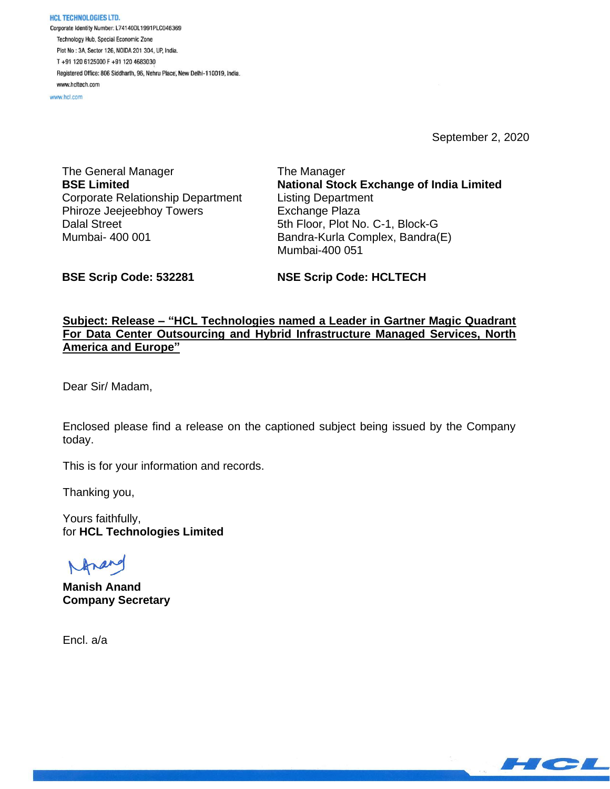HCL TECHNOLOGIES LTD. Corporate Identity Number: L74140DL1991PLC046369 Technology Hub, Special Economic Zone Plot No: 3A, Sector 126, NOIDA 201 304, UP, India. T+91 120 6125000 F+91 120 4683030 Registered Office: 806 Siddharth, 96, Nehru Place, New Delhi-110019, India. www.hcltech.com

www.hcl.com

September 2, 2020

The General Manager **BSE Limited** Corporate Relationship Department Phiroze Jeejeebhoy Towers Dalal Street Mumbai- 400 001

The Manager **National Stock Exchange of India Limited** Listing Department Exchange Plaza 5th Floor, Plot No. C-1, Block-G Bandra-Kurla Complex, Bandra(E) Mumbai-400 051

**BSE Scrip Code: 532281**

**NSE Scrip Code: HCLTECH**

## **Subject: Release – "HCL Technologies named a Leader in Gartner Magic Quadrant For Data Center Outsourcing and Hybrid Infrastructure Managed Services, North America and Europe"**

Dear Sir/ Madam,

Enclosed please find a release on the captioned subject being issued by the Company today.

This is for your information and records.

Thanking you,

Yours faithfully, for **HCL Technologies Limited**

Ana

**Manish Anand Company Secretary**

Encl. a/a

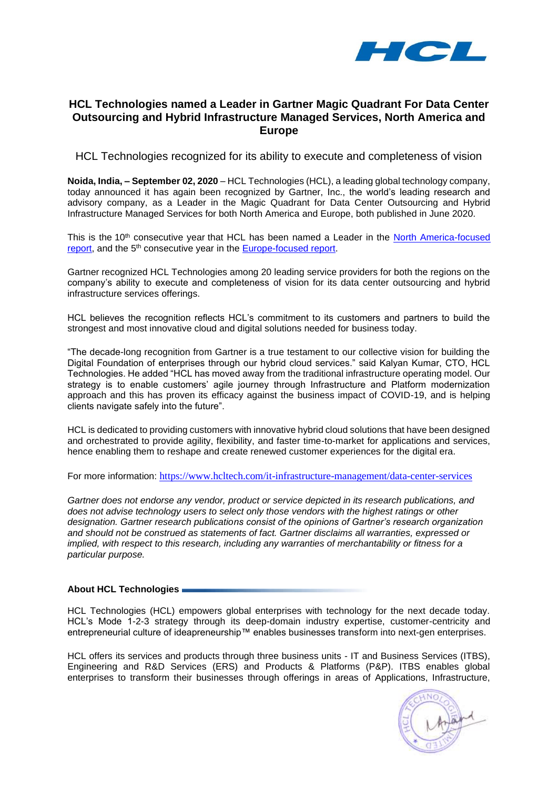

# **HCL Technologies named a Leader in Gartner Magic Quadrant For Data Center Outsourcing and Hybrid Infrastructure Managed Services, North America and Europe**

HCL Technologies recognized for its ability to execute and completeness of vision

**Noida, India, – September 02, 2020** – HCL Technologies (HCL), a leading global technology company, today announced it has again been recognized by Gartner, Inc., the world's leading research and advisory company, as a Leader in the Magic Quadrant for Data Center Outsourcing and Hybrid Infrastructure Managed Services for both North America and Europe, both published in June 2020.

This is the 10<sup>th</sup> consecutive year that HCL has been named a Leader in the North America-focused [report,](https://www.hcltech.com/analyst/analyst-reports/hcl-positioned-leader-gartner-magic-quadrant-data-center-outsourcing-north-america) and the 5<sup>th</sup> consecutive year in the **Europe-focused report**.

Gartner recognized HCL Technologies among 20 leading service providers for both the regions on the company's ability to execute and completeness of vision for its data center outsourcing and hybrid infrastructure services offerings.

HCL believes the recognition reflects HCL's commitment to its customers and partners to build the strongest and most innovative cloud and digital solutions needed for business today.

"The decade-long recognition from Gartner is a true testament to our collective vision for building the Digital Foundation of enterprises through our hybrid cloud services." said Kalyan Kumar, CTO, HCL Technologies. He added "HCL has moved away from the traditional infrastructure operating model. Our strategy is to enable customers' agile journey through Infrastructure and Platform modernization approach and this has proven its efficacy against the business impact of COVID-19, and is helping clients navigate safely into the future".

HCL is dedicated to providing customers with innovative hybrid cloud solutions that have been designed and orchestrated to provide agility, flexibility, and faster time-to-market for applications and services, hence enabling them to reshape and create renewed customer experiences for the digital era.

For more information: <https://www.hcltech.com/it-infrastructure-management/data-center-services>

*Gartner does not endorse any vendor, product or service depicted in its research publications, and does not advise technology users to select only those vendors with the highest ratings or other designation. Gartner research publications consist of the opinions of Gartner's research organization and should not be construed as statements of fact. Gartner disclaims all warranties, expressed or implied, with respect to this research, including any warranties of merchantability or fitness for a particular purpose.*

#### **About HCL Technologies**

HCL Technologies (HCL) empowers global enterprises with technology for the next decade today. HCL's Mode 1-2-3 strategy through its deep-domain industry expertise, customer-centricity and entrepreneurial culture of ideapreneurship™ enables businesses transform into next-gen enterprises.

HCL offers its services and products through three business units - IT and Business Services (ITBS), Engineering and R&D Services (ERS) and Products & Platforms (P&P). ITBS enables global enterprises to transform their businesses through offerings in areas of Applications, Infrastructure,